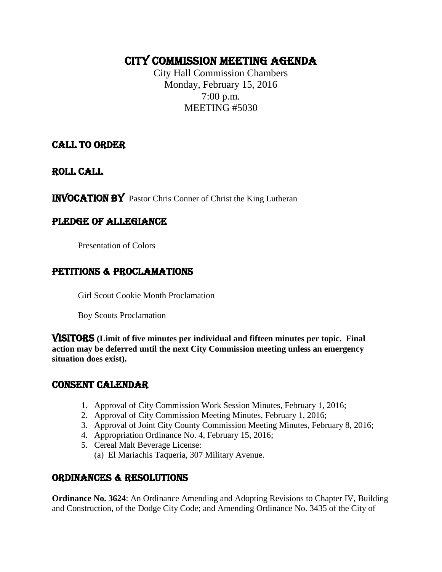## CITY COMMISSION MEETING AGENDA

City Hall Commission Chambers Monday, February 15, 2016 7:00 p.m. MEETING #5030

CALL TO ORDER

ROLL CALL

INVOCATION by Pastor Chris Conner of Christ the King Lutheran

## PLEDGE OF ALLEGIANCE

Presentation of Colors

## PETITIONS & PROCLAMATIONS

Girl Scout Cookie Month Proclamation

Boy Scouts Proclamation

VISITORS **(Limit of five minutes per individual and fifteen minutes per topic. Final action may be deferred until the next City Commission meeting unless an emergency situation does exist).**

### CONSENT CALENDAR

- 1. Approval of City Commission Work Session Minutes, February 1, 2016;
- 2. Approval of City Commission Meeting Minutes, February 1, 2016;
- 3. Approval of Joint City County Commission Meeting Minutes, February 8, 2016;
- 4. Appropriation Ordinance No. 4, February 15, 2016;
- 5. Cereal Malt Beverage License:
	- (a) El Mariachis Taqueria, 307 Military Avenue.

## ORDINANCES & RESOLUTIONS

**Ordinance No. 3624**: An Ordinance Amending and Adopting Revisions to Chapter IV, Building and Construction, of the Dodge City Code; and Amending Ordinance No. 3435 of the City of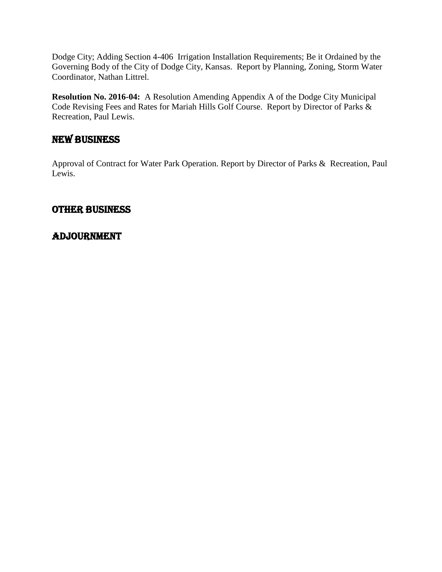Dodge City; Adding Section 4-406 Irrigation Installation Requirements; Be it Ordained by the Governing Body of the City of Dodge City, Kansas. Report by Planning, Zoning, Storm Water Coordinator, Nathan Littrel.

**Resolution No. 2016-04:** A Resolution Amending Appendix A of the Dodge City Municipal Code Revising Fees and Rates for Mariah Hills Golf Course. Report by Director of Parks & Recreation, Paul Lewis.

## NEW BUSINESS

Approval of Contract for Water Park Operation. Report by Director of Parks & Recreation, Paul Lewis.

#### OTHER BUSINESS

## Adjournment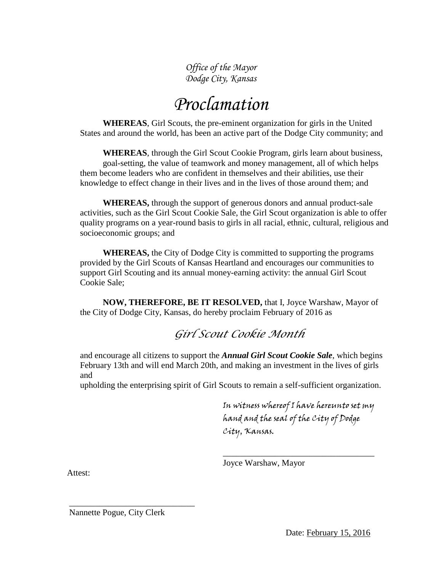*Office of the Mayor Dodge City, Kansas*

## *Proclamation*

**WHEREAS**, Girl Scouts, the pre-eminent organization for girls in the United States and around the world, has been an active part of the Dodge City community; and

**WHEREAS**, through the Girl Scout Cookie Program, girls learn about business, goal-setting, the value of teamwork and money management, all of which helps them become leaders who are confident in themselves and their abilities, use their knowledge to effect change in their lives and in the lives of those around them; and

**WHEREAS,** through the support of generous donors and annual product-sale activities, such as the Girl Scout Cookie Sale, the Girl Scout organization is able to offer quality programs on a year-round basis to girls in all racial, ethnic, cultural, religious and socioeconomic groups; and

**WHEREAS,** the City of Dodge City is committed to supporting the programs provided by the Girl Scouts of Kansas Heartland and encourages our communities to support Girl Scouting and its annual money-earning activity: the annual Girl Scout Cookie Sale;

**NOW, THEREFORE, BE IT RESOLVED,** that I, Joyce Warshaw, Mayor of the City of Dodge City, Kansas, do hereby proclaim February of 2016 as

## *Girl Scout Cookie Month*

and encourage all citizens to support the *Annual Girl Scout Cookie Sale*, which begins February 13th and will end March 20th, and making an investment in the lives of girls and

upholding the enterprising spirit of Girl Scouts to remain a self-sufficient organization.

In witness whereof I have hereunto set my hand and the seal of the City of Dodge City, Kansas.

\_\_\_\_\_\_\_\_\_\_\_\_\_\_\_\_\_\_\_\_\_\_\_\_\_\_\_\_\_\_\_\_\_\_\_

Joyce Warshaw, Mayor

Attest:

Nannette Pogue, City Clerk

\_\_\_\_\_\_\_\_\_\_\_\_\_\_\_\_\_\_\_\_\_\_\_\_\_\_\_\_\_

Date: February 15, 2016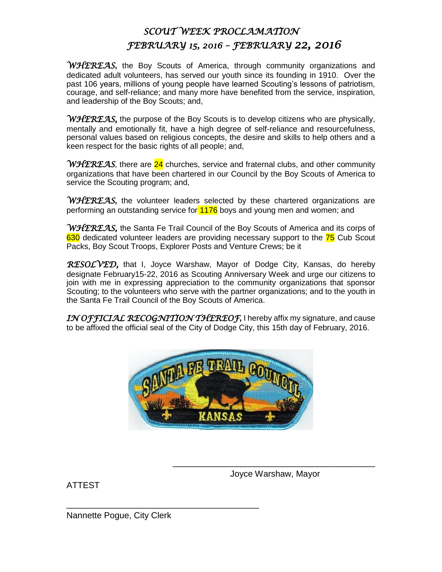## *SCOUT WEEK PROCLAMATION FEBRUARY 15, 2016 – FEBRUARY 22, 2016*

*WHEREAS***,** the Boy Scouts of America, through community organizations and dedicated adult volunteers, has served our youth since its founding in 1910. Over the past 106 years, millions of young people have learned Scouting's lessons of patriotism. courage, and self-reliance; and many more have benefited from the service, inspiration, and leadership of the Boy Scouts; and,

*WHEREAS,* the purpose of the Boy Scouts is to develop citizens who are physically, mentally and emotionally fit, have a high degree of self-reliance and resourcefulness, personal values based on religious concepts, the desire and skills to help others and a keen respect for the basic rights of all people; and,

*WHEREAS*, there are 24 churches, service and fraternal clubs, and other community organizations that have been chartered in our Council by the Boy Scouts of America to service the Scouting program; and,

*WHEREAS*, the volunteer leaders selected by these chartered organizations are performing an outstanding service for 1176 boys and young men and women; and

*WHEREAS,* the Santa Fe Trail Council of the Boy Scouts of America and its corps of 630 dedicated volunteer leaders are providing necessary support to the 75 Cub Scout Packs, Boy Scout Troops, Explorer Posts and Venture Crews; be it

*RESOLVED,* that I, Joyce Warshaw, Mayor of Dodge City, Kansas, do hereby designate February15-22, 2016 as Scouting Anniversary Week and urge our citizens to join with me in expressing appreciation to the community organizations that sponsor Scouting; to the volunteers who serve with the partner organizations; and to the youth in the Santa Fe Trail Council of the Boy Scouts of America.

*IN OFFICIAL RECOGNITION THEREOF***,** I hereby affix my signature, and cause to be affixed the official seal of the City of Dodge City, this 15th day of February, 2016.



ATTEST

\_\_\_\_\_\_\_\_\_\_\_\_\_\_\_\_\_\_\_\_\_\_\_\_\_\_\_\_\_\_\_\_\_\_\_\_\_\_\_\_\_\_ Joyce Warshaw, Mayor

Nannette Pogue, City Clerk

\_\_\_\_\_\_\_\_\_\_\_\_\_\_\_\_\_\_\_\_\_\_\_\_\_\_\_\_\_\_\_\_\_\_\_\_\_\_\_\_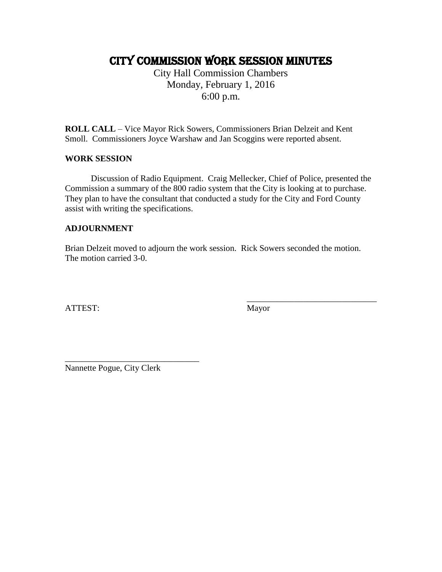## CITY COMMISSION work session MINUTES

City Hall Commission Chambers Monday, February 1, 2016 6:00 p.m.

**ROLL CALL** – Vice Mayor Rick Sowers, Commissioners Brian Delzeit and Kent Smoll. Commissioners Joyce Warshaw and Jan Scoggins were reported absent.

#### **WORK SESSION**

Discussion of Radio Equipment. Craig Mellecker, Chief of Police, presented the Commission a summary of the 800 radio system that the City is looking at to purchase. They plan to have the consultant that conducted a study for the City and Ford County assist with writing the specifications.

#### **ADJOURNMENT**

Brian Delzeit moved to adjourn the work session. Rick Sowers seconded the motion. The motion carried 3-0.

ATTEST: Mayor

\_\_\_\_\_\_\_\_\_\_\_\_\_\_\_\_\_\_\_\_\_\_\_\_\_\_\_\_\_\_

Nannette Pogue, City Clerk

\_\_\_\_\_\_\_\_\_\_\_\_\_\_\_\_\_\_\_\_\_\_\_\_\_\_\_\_\_\_\_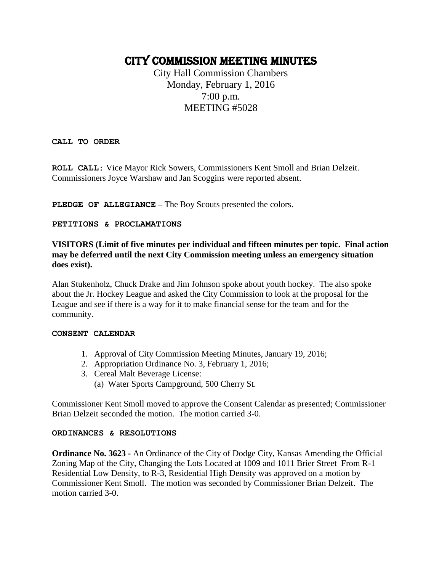## CITY COMMISSION MEETING MINUTES

City Hall Commission Chambers Monday, February 1, 2016 7:00 p.m. MEETING #5028

**CALL TO ORDER**

**ROLL CALL:** Vice Mayor Rick Sowers, Commissioners Kent Smoll and Brian Delzeit. Commissioners Joyce Warshaw and Jan Scoggins were reported absent.

**PLEDGE OF ALLEGIANCE –** The Boy Scouts presented the colors.

#### **PETITIONS & PROCLAMATIONS**

#### **VISITORS (Limit of five minutes per individual and fifteen minutes per topic. Final action may be deferred until the next City Commission meeting unless an emergency situation does exist).**

Alan Stukenholz, Chuck Drake and Jim Johnson spoke about youth hockey. The also spoke about the Jr. Hockey League and asked the City Commission to look at the proposal for the League and see if there is a way for it to make financial sense for the team and for the community.

#### **CONSENT CALENDAR**

- 1. Approval of City Commission Meeting Minutes, January 19, 2016;
- 2. Appropriation Ordinance No. 3, February 1, 2016;
- 3. Cereal Malt Beverage License:
	- (a) Water Sports Campground, 500 Cherry St.

Commissioner Kent Smoll moved to approve the Consent Calendar as presented; Commissioner Brian Delzeit seconded the motion. The motion carried 3-0.

#### **ORDINANCES & RESOLUTIONS**

**Ordinance No. 3623 -** An Ordinance of the City of Dodge City, Kansas Amending the Official Zoning Map of the City, Changing the Lots Located at 1009 and 1011 Brier Street From R-1 Residential Low Density, to R-3, Residential High Density was approved on a motion by Commissioner Kent Smoll. The motion was seconded by Commissioner Brian Delzeit. The motion carried 3-0.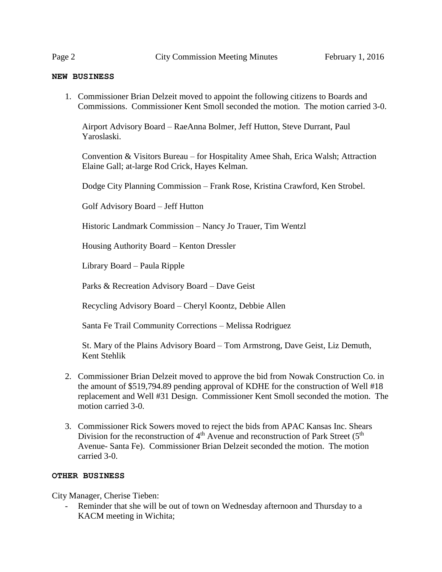#### **NEW BUSINESS**

1. Commissioner Brian Delzeit moved to appoint the following citizens to Boards and Commissions. Commissioner Kent Smoll seconded the motion. The motion carried 3-0.

Airport Advisory Board – RaeAnna Bolmer, Jeff Hutton, Steve Durrant, Paul Yaroslaski.

Convention & Visitors Bureau – for Hospitality Amee Shah, Erica Walsh; Attraction Elaine Gall; at-large Rod Crick, Hayes Kelman.

Dodge City Planning Commission – Frank Rose, Kristina Crawford, Ken Strobel.

Golf Advisory Board – Jeff Hutton

Historic Landmark Commission – Nancy Jo Trauer, Tim Wentzl

Housing Authority Board – Kenton Dressler

Library Board – Paula Ripple

Parks & Recreation Advisory Board – Dave Geist

Recycling Advisory Board – Cheryl Koontz, Debbie Allen

Santa Fe Trail Community Corrections – Melissa Rodriguez

St. Mary of the Plains Advisory Board – Tom Armstrong, Dave Geist, Liz Demuth, Kent Stehlik

- 2. Commissioner Brian Delzeit moved to approve the bid from Nowak Construction Co. in the amount of \$519,794.89 pending approval of KDHE for the construction of Well #18 replacement and Well #31 Design. Commissioner Kent Smoll seconded the motion. The motion carried 3-0.
- 3. Commissioner Rick Sowers moved to reject the bids from APAC Kansas Inc. Shears Division for the reconstruction of  $4<sup>th</sup>$  Avenue and reconstruction of Park Street ( $5<sup>th</sup>$ Avenue- Santa Fe). Commissioner Brian Delzeit seconded the motion. The motion carried 3-0.

#### **OTHER BUSINESS**

City Manager, Cherise Tieben:

Reminder that she will be out of town on Wednesday afternoon and Thursday to a KACM meeting in Wichita;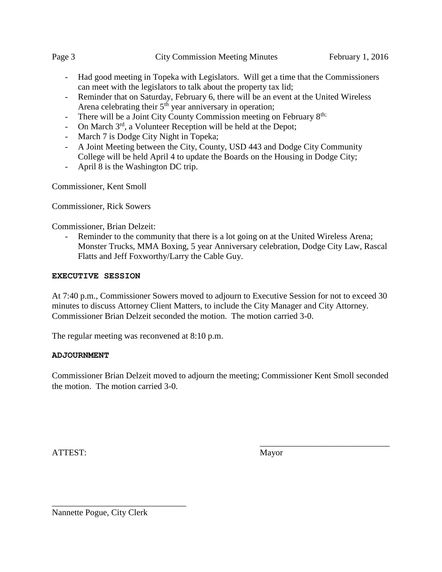- Had good meeting in Topeka with Legislators. Will get a time that the Commissioners can meet with the legislators to talk about the property tax lid;
- Reminder that on Saturday, February 6, there will be an event at the United Wireless Arena celebrating their  $5<sup>th</sup>$  year anniversary in operation;
- There will be a Joint City County Commission meeting on February 8<sup>th;</sup>
- On March  $3<sup>rd</sup>$ , a Volunteer Reception will be held at the Depot;
- March 7 is Dodge City Night in Topeka;
- A Joint Meeting between the City, County, USD 443 and Dodge City Community College will be held April 4 to update the Boards on the Housing in Dodge City;
- April 8 is the Washington DC trip.

Commissioner, Kent Smoll

Commissioner, Rick Sowers

Commissioner, Brian Delzeit:

Reminder to the community that there is a lot going on at the United Wireless Arena; Monster Trucks, MMA Boxing, 5 year Anniversary celebration, Dodge City Law, Rascal Flatts and Jeff Foxworthy/Larry the Cable Guy.

#### **EXECUTIVE SESSION**

At 7:40 p.m., Commissioner Sowers moved to adjourn to Executive Session for not to exceed 30 minutes to discuss Attorney Client Matters, to include the City Manager and City Attorney. Commissioner Brian Delzeit seconded the motion. The motion carried 3-0.

The regular meeting was reconvened at 8:10 p.m.

#### **ADJOURNMENT**

Commissioner Brian Delzeit moved to adjourn the meeting; Commissioner Kent Smoll seconded the motion. The motion carried 3-0.

ATTEST: Mayor

\_\_\_\_\_\_\_\_\_\_\_\_\_\_\_\_\_\_\_\_\_\_\_\_\_\_\_\_\_\_

Nannette Pogue, City Clerk

\_\_\_\_\_\_\_\_\_\_\_\_\_\_\_\_\_\_\_\_\_\_\_\_\_\_\_\_\_\_\_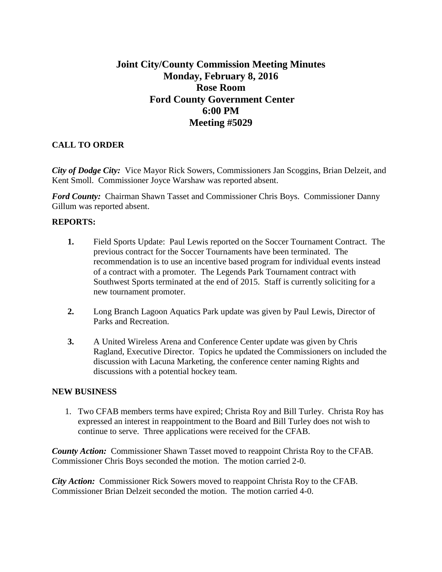## **Joint City/County Commission Meeting Minutes Monday, February 8, 2016 Rose Room Ford County Government Center 6:00 PM Meeting #5029**

#### **CALL TO ORDER**

*City of Dodge City:* Vice Mayor Rick Sowers, Commissioners Jan Scoggins, Brian Delzeit, and Kent Smoll. Commissioner Joyce Warshaw was reported absent.

*Ford County:* Chairman Shawn Tasset and Commissioner Chris Boys. Commissioner Danny Gillum was reported absent.

#### **REPORTS:**

- **1.** Field Sports Update: Paul Lewis reported on the Soccer Tournament Contract. The previous contract for the Soccer Tournaments have been terminated. The recommendation is to use an incentive based program for individual events instead of a contract with a promoter. The Legends Park Tournament contract with Southwest Sports terminated at the end of 2015. Staff is currently soliciting for a new tournament promoter.
- **2.** Long Branch Lagoon Aquatics Park update was given by Paul Lewis, Director of Parks and Recreation.
- **3.** A United Wireless Arena and Conference Center update was given by Chris Ragland, Executive Director. Topics he updated the Commissioners on included the discussion with Lacuna Marketing, the conference center naming Rights and discussions with a potential hockey team.

#### **NEW BUSINESS**

1. Two CFAB members terms have expired; Christa Roy and Bill Turley. Christa Roy has expressed an interest in reappointment to the Board and Bill Turley does not wish to continue to serve. Three applications were received for the CFAB.

*County Action:* Commissioner Shawn Tasset moved to reappoint Christa Roy to the CFAB. Commissioner Chris Boys seconded the motion. The motion carried 2-0.

*City Action:* Commissioner Rick Sowers moved to reappoint Christa Roy to the CFAB. Commissioner Brian Delzeit seconded the motion. The motion carried 4-0.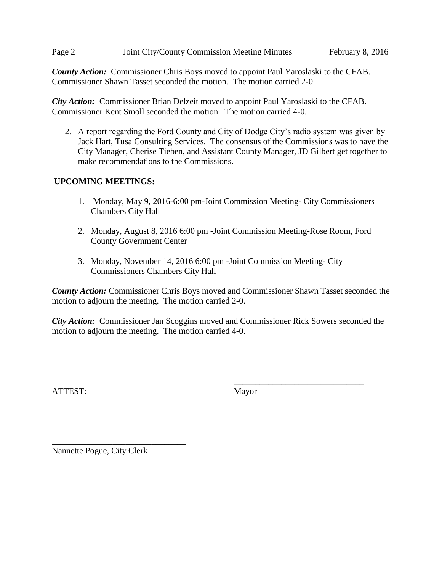#### Page 2 Joint City/County Commission Meeting Minutes February 8, 2016

*County Action:* Commissioner Chris Boys moved to appoint Paul Yaroslaski to the CFAB. Commissioner Shawn Tasset seconded the motion. The motion carried 2-0.

*City Action:* Commissioner Brian Delzeit moved to appoint Paul Yaroslaski to the CFAB. Commissioner Kent Smoll seconded the motion. The motion carried 4-0.

2. A report regarding the Ford County and City of Dodge City's radio system was given by Jack Hart, Tusa Consulting Services. The consensus of the Commissions was to have the City Manager, Cherise Tieben, and Assistant County Manager, JD Gilbert get together to make recommendations to the Commissions.

#### **UPCOMING MEETINGS:**

- 1. Monday, May 9, 2016-6:00 pm-Joint Commission Meeting- City Commissioners Chambers City Hall
- 2. Monday, August 8, 2016 6:00 pm -Joint Commission Meeting-Rose Room, Ford County Government Center
- 3. Monday, November 14, 2016 6:00 pm -Joint Commission Meeting- City Commissioners Chambers City Hall

*County Action:* Commissioner Chris Boys moved and Commissioner Shawn Tasset seconded the motion to adjourn the meeting. The motion carried 2-0.

*City Action:* Commissioner Jan Scoggins moved and Commissioner Rick Sowers seconded the motion to adjourn the meeting. The motion carried 4-0.

ATTEST: Mayor

\_\_\_\_\_\_\_\_\_\_\_\_\_\_\_\_\_\_\_\_\_\_\_\_\_\_\_\_\_\_

Nannette Pogue, City Clerk

\_\_\_\_\_\_\_\_\_\_\_\_\_\_\_\_\_\_\_\_\_\_\_\_\_\_\_\_\_\_\_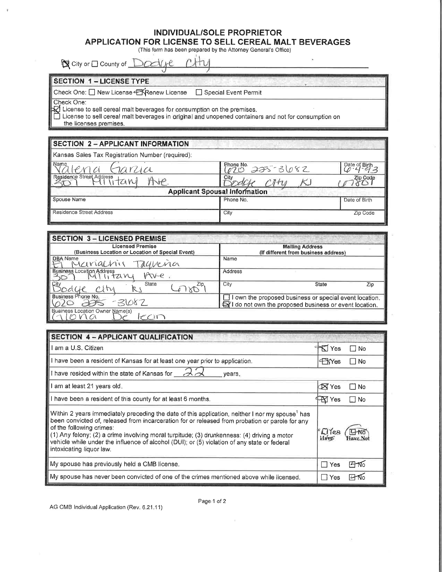## **INDIVIDUAL/SOLE PROPRIETOR** APPLICATION FOR LICENSE TO SELL CEREAL MALT BEVERAGES (This form has been prepared by the Attorney General's Office)

◎ City or □ County of Mtv <u>NGE</u>

| <b>SECTION 1 - LICENSE TYPE</b>                                                                                                                                                                                                                                                                  |                           |               |
|--------------------------------------------------------------------------------------------------------------------------------------------------------------------------------------------------------------------------------------------------------------------------------------------------|---------------------------|---------------|
| Check One: □ New License < KRenew License<br>Special Event Permit<br>Check One:<br>M<br>License to sell cereal malt beverages for consumption on the premises.<br>License to sell cereal malt beverages in original and unopened containers and not for consumption on<br>the licenses premises. |                           |               |
|                                                                                                                                                                                                                                                                                                  |                           |               |
| Kansas Sales Tax Registration Number (required):                                                                                                                                                                                                                                                 |                           |               |
| Name                                                                                                                                                                                                                                                                                             | Phone No.<br>$225 - 3682$ | Date of Birth |
| Residence Street Address                                                                                                                                                                                                                                                                         | City                      | Zip Code      |
| <b>Applicant Spousal Information</b>                                                                                                                                                                                                                                                             |                           |               |
| Spouse Name                                                                                                                                                                                                                                                                                      | Phone No.                 | Date of Birth |
| Residence Street Address                                                                                                                                                                                                                                                                         | City                      | Zip Code      |
|                                                                                                                                                                                                                                                                                                  |                           |               |

| <b>SECTION 3-LICENSED PREMISE</b>                |                                                        |  |
|--------------------------------------------------|--------------------------------------------------------|--|
| <b>Licensed Premise</b>                          | <b>Mailing Address</b>                                 |  |
| (Business Location or Location of Special Event) | (If different from business address)                   |  |
| DBA Name<br>Manachir<br>Tagueria                 | Name                                                   |  |
| <b>Business Location Address</b><br>Ave<br>71 VL | Address                                                |  |
| City<br>State<br>Zip.<br>$C_{1}$                 | City<br>State<br>Zip                                   |  |
| Business Phone No.                               | I own the proposed business or special event location. |  |
| $-3082$                                          | I do not own the proposed business or event location.  |  |
| Business Location Owner Name(s)                  |                                                        |  |
|                                                  |                                                        |  |

| SECTION 4 - APPLICANT QUALIFICATION                                                                                                                                                                                                                                                                                                                                                                                                                                   |                        |  |
|-----------------------------------------------------------------------------------------------------------------------------------------------------------------------------------------------------------------------------------------------------------------------------------------------------------------------------------------------------------------------------------------------------------------------------------------------------------------------|------------------------|--|
| am a U.S. Citizen                                                                                                                                                                                                                                                                                                                                                                                                                                                     | FKI Yes<br>$\Box$ No   |  |
| I have been a resident of Kansas for at least one year prior to application.                                                                                                                                                                                                                                                                                                                                                                                          | <b>EXYes</b><br>l No   |  |
| I have resided within the state of Kansas for $\mathcal{A}\overline{\mathcal{A}}$<br>years.                                                                                                                                                                                                                                                                                                                                                                           |                        |  |
| am at least 21 years old.                                                                                                                                                                                                                                                                                                                                                                                                                                             | N Yes<br>$\Box$ No     |  |
| I have been a resident of this county for at least 6 months.                                                                                                                                                                                                                                                                                                                                                                                                          | $\mathbb F$ Yes<br>∣No |  |
| Within 2 years immediately preceding the date of this application, neither I nor my spouse <sup>1</sup> has<br>been convicted of, released from incarceration for or released from probation or parole for any<br>of the following crimes:<br>(1) Any felony; (2) a crime involving moral turpitude; (3) drunkenness: (4) driving a motor<br>vehicle while under the influence of alcohol (DUI); or (5) violation of any state or federal<br>intoxicating liquor law. | <i>Elles</i>           |  |
| My spouse has previously held a CMB license.                                                                                                                                                                                                                                                                                                                                                                                                                          | Hno<br>$\Box$ Yes      |  |
| My spouse has never been convicted of one of the crimes mentioned above while licensed.                                                                                                                                                                                                                                                                                                                                                                               | দি≼<br>Yes             |  |

Page-1 of 2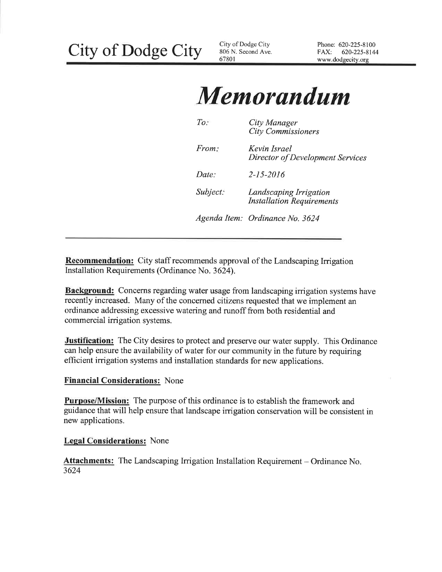# **Memorandum**

| To:      | City Manager<br><b>City Commissioners</b>                  |
|----------|------------------------------------------------------------|
| From:    | Kevin Israel<br>Director of Development Services           |
| Date:    | $2 - 15 - 2016$                                            |
| Subject: | Landscaping Irrigation<br><b>Installation Requirements</b> |
|          | Agenda Item: Ordinance No. 3624                            |

**Recommendation:** City staff recommends approval of the Landscaping Irrigation Installation Requirements (Ordinance No. 3624).

Background: Concerns regarding water usage from landscaping irrigation systems have recently increased. Many of the concerned citizens requested that we implement an ordinance addressing excessive watering and runoff from both residential and commercial irrigation systems.

**Justification:** The City desires to protect and preserve our water supply. This Ordinance can help ensure the availability of water for our community in the future by requiring efficient irrigation systems and installation standards for new applications.

#### **Financial Considerations: None**

**Purpose/Mission:** The purpose of this ordinance is to establish the framework and guidance that will help ensure that landscape irrigation conservation will be consistent in new applications.

#### **Legal Considerations:** None

**Attachments:** The Landscaping Irrigation Installation Requirement – Ordinance No. 3624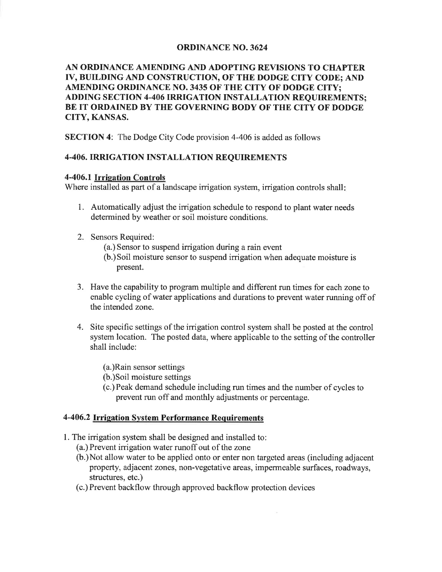#### **ORDINANCE NO. 3624**

#### AN ORDINANCE AMENDING AND ADOPTING REVISIONS TO CHAPTER IV, BUILDING AND CONSTRUCTION, OF THE DODGE CITY CODE: AND AMENDING ORDINANCE NO. 3435 OF THE CITY OF DODGE CITY; **ADDING SECTION 4-406 IRRIGATION INSTALLATION REOUIREMENTS:** BE IT ORDAINED BY THE GOVERNING BODY OF THE CITY OF DODGE **CITY, KANSAS.**

**SECTION 4:** The Dodge City Code provision 4-406 is added as follows

#### **4-406. IRRIGATION INSTALLATION REOUIREMENTS**

#### 4-406.1 Irrigation Controls

Where installed as part of a landscape irrigation system, irrigation controls shall:

- 1. Automatically adjust the irrigation schedule to respond to plant water needs determined by weather or soil moisture conditions.
- 2. Sensors Required:
	- (a.) Sensor to suspend irrigation during a rain event
	- (b.) Soil moisture sensor to suspend irrigation when adequate moisture is present.
- 3. Have the capability to program multiple and different run times for each zone to enable cycling of water applications and durations to prevent water running off of the intended zone.
- 4. Site specific settings of the irrigation control system shall be posted at the control system location. The posted data, where applicable to the setting of the controller shall include:
	- (a.)Rain sensor settings
	- (b.) Soil moisture settings
	- (c.) Peak demand schedule including run times and the number of cycles to prevent run off and monthly adjustments or percentage.

#### 4-406.2 Irrigation System Performance Requirements

- 1. The irrigation system shall be designed and installed to:
	- (a.) Prevent irrigation water runoff out of the zone
	- (b.) Not allow water to be applied onto or enter non targeted areas (including adjacent property, adjacent zones, non-vegetative areas, impermeable surfaces, roadways, structures, etc.)
	- (c.) Prevent backflow through approved backflow protection devices